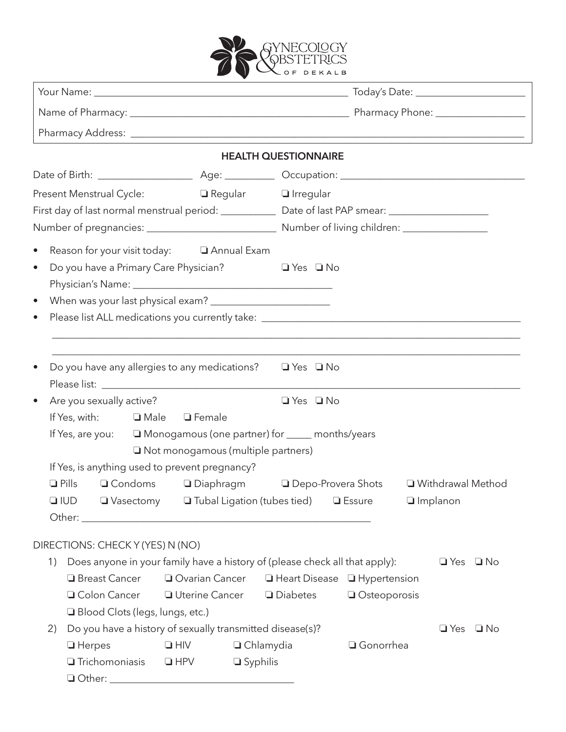

|                                                                                                                                                           |                                                       |                                     | <b>HEALTH QUESTIONNAIRE</b>                                       |                                                                 |                      |  |
|-----------------------------------------------------------------------------------------------------------------------------------------------------------|-------------------------------------------------------|-------------------------------------|-------------------------------------------------------------------|-----------------------------------------------------------------|----------------------|--|
|                                                                                                                                                           |                                                       |                                     |                                                                   |                                                                 |                      |  |
| Present Menstrual Cycle:<br>□ Regular □ Irregular<br>First day of last normal menstrual period: _______________ Date of last PAP smear: _________________ |                                                       |                                     |                                                                   |                                                                 |                      |  |
| Reason for your visit today: 4. 4 Annual Exam<br>$\bullet$<br>Do you have a Primary Care Physician?<br>$\bullet$                                          |                                                       |                                     | $\Box$ Yes $\Box$ No                                              |                                                                 |                      |  |
| $\bullet$                                                                                                                                                 |                                                       |                                     |                                                                   |                                                                 |                      |  |
| Do you have any allergies to any medications? $\Box$ Yes $\Box$ No                                                                                        |                                                       |                                     |                                                                   |                                                                 |                      |  |
| Are you sexually active?                                                                                                                                  |                                                       |                                     | $\Box$ Yes $\Box$ No                                              |                                                                 |                      |  |
| If Yes, with: $\Box$ Male<br>If Yes, are you: □ Monogamous (one partner) for _____ months/years                                                           | $\Box$ Female<br>□ Not monogamous (multiple partners) |                                     |                                                                   |                                                                 |                      |  |
| If Yes, is anything used to prevent pregnancy?                                                                                                            |                                                       |                                     |                                                                   |                                                                 |                      |  |
| $\Box$ Pills<br>$\square$ IUD                                                                                                                             |                                                       |                                     | $\Box$ Vasectomy $\Box$ Tubal Ligation (tubes tied) $\Box$ Essure | □ Condoms □ Diaphragm □ Depo-Provera Shots □ Withdrawal Method  | $\Box$ Implanon      |  |
| DIRECTIONS: CHECK Y (YES) N (NO)                                                                                                                          |                                                       |                                     |                                                                   |                                                                 |                      |  |
| Does anyone in your family have a history of (please check all that apply):<br>1)<br>□ Breast Cancer<br>□ Colon Cancer<br>Blood Clots (legs, lungs, etc.) | □ Uterine Cancer                                      |                                     | <b>Diabetes</b>                                                   | □ Ovarian Cancer □ Heart Disease □ Hypertension<br>Osteoporosis | $\Box$ Yes $\Box$ No |  |
| Do you have a history of sexually transmitted disease(s)?<br>2)<br>$\Box$ Herpes<br><b>Trichomoniasis</b>                                                 | $\Box$ HIV<br>$\Box$ HPV                              | $\Box$ Chlamydia<br>$\Box$ Syphilis |                                                                   | □ Gonorrhea                                                     | $\Box$ Yes $\Box$ No |  |